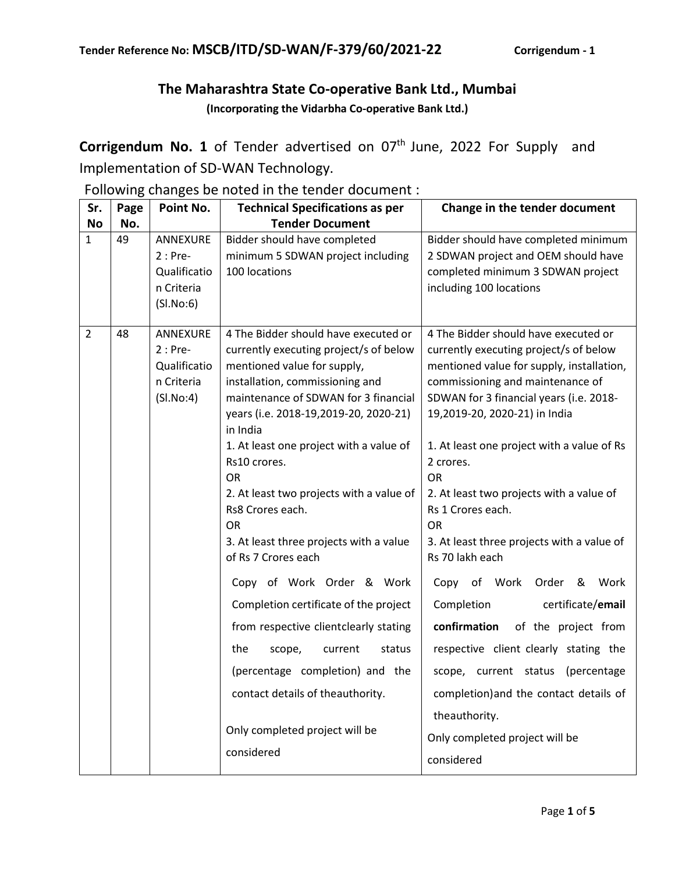## **The Maharashtra State Co-operative Bank Ltd., Mumbai (Incorporating the Vidarbha Co-operative Bank Ltd.)**

**Corrigendum No. 1** of Tender advertised on 07<sup>th</sup> June, 2022 For Supply and Implementation of SD-WAN Technology.

Following changes be noted in the tender document :

| Sr.            | Page | Point No.                                                              | <b>Technical Specifications as per</b>                                                                                                                                                                                                                                                                                                                                                                                                                                                                                                                                                                                                                                                                                                           | Change in the tender document                                                                                                                                                                                                                                                                                                                                                                                                                                                                                                                                                                                                                                                                                                                                               |  |  |  |
|----------------|------|------------------------------------------------------------------------|--------------------------------------------------------------------------------------------------------------------------------------------------------------------------------------------------------------------------------------------------------------------------------------------------------------------------------------------------------------------------------------------------------------------------------------------------------------------------------------------------------------------------------------------------------------------------------------------------------------------------------------------------------------------------------------------------------------------------------------------------|-----------------------------------------------------------------------------------------------------------------------------------------------------------------------------------------------------------------------------------------------------------------------------------------------------------------------------------------------------------------------------------------------------------------------------------------------------------------------------------------------------------------------------------------------------------------------------------------------------------------------------------------------------------------------------------------------------------------------------------------------------------------------------|--|--|--|
| <b>No</b>      | No.  |                                                                        | <b>Tender Document</b>                                                                                                                                                                                                                                                                                                                                                                                                                                                                                                                                                                                                                                                                                                                           |                                                                                                                                                                                                                                                                                                                                                                                                                                                                                                                                                                                                                                                                                                                                                                             |  |  |  |
| $\mathbf{1}$   | 49   | ANNEXURE<br>$2:Pre-$<br>Qualificatio<br>n Criteria<br>(SI.No:6)        | Bidder should have completed<br>minimum 5 SDWAN project including<br>100 locations                                                                                                                                                                                                                                                                                                                                                                                                                                                                                                                                                                                                                                                               | Bidder should have completed minimum<br>2 SDWAN project and OEM should have<br>completed minimum 3 SDWAN project<br>including 100 locations                                                                                                                                                                                                                                                                                                                                                                                                                                                                                                                                                                                                                                 |  |  |  |
| $\overline{2}$ | 48   | <b>ANNEXURE</b><br>$2:Pre-$<br>Qualificatio<br>n Criteria<br>(SI.No:4) | 4 The Bidder should have executed or<br>currently executing project/s of below<br>mentioned value for supply,<br>installation, commissioning and<br>maintenance of SDWAN for 3 financial<br>years (i.e. 2018-19,2019-20, 2020-21)<br>in India<br>1. At least one project with a value of<br>Rs10 crores.<br><b>OR</b><br>2. At least two projects with a value of<br>Rs8 Crores each.<br><b>OR</b><br>3. At least three projects with a value<br>of Rs 7 Crores each<br>Copy of Work Order & Work<br>Completion certificate of the project<br>from respective clientclearly stating<br>the<br>status<br>scope,<br>current<br>(percentage completion) and the<br>contact details of theauthority.<br>Only completed project will be<br>considered | 4 The Bidder should have executed or<br>currently executing project/s of below<br>mentioned value for supply, installation,<br>commissioning and maintenance of<br>SDWAN for 3 financial years (i.e. 2018-<br>19,2019-20, 2020-21) in India<br>1. At least one project with a value of Rs<br>2 crores.<br><b>OR</b><br>2. At least two projects with a value of<br>Rs 1 Crores each.<br><b>OR</b><br>3. At least three projects with a value of<br>Rs 70 lakh each<br>Copy<br>of Work<br>Order &<br>Work<br>Completion<br>certificate/email<br>confirmation<br>of the project from<br>respective client clearly stating the<br>scope, current status (percentage<br>completion) and the contact details of<br>theauthority.<br>Only completed project will be<br>considered |  |  |  |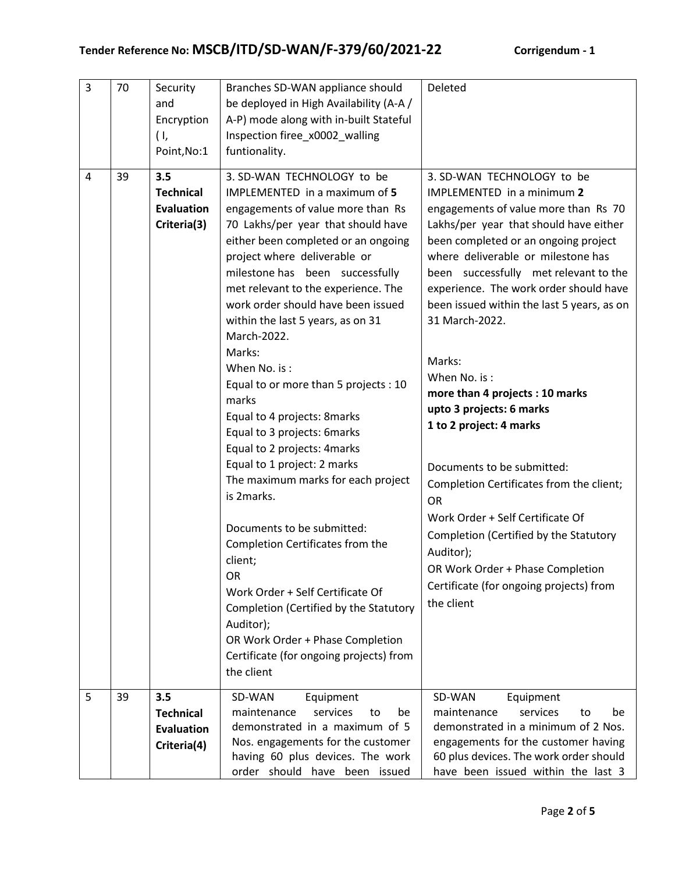| 3 | 70 | Security                | Branches SD-WAN appliance should                                      | Deleted                                                                       |  |  |  |
|---|----|-------------------------|-----------------------------------------------------------------------|-------------------------------------------------------------------------------|--|--|--|
|   |    | and                     | be deployed in High Availability (A-A /                               |                                                                               |  |  |  |
|   |    | Encryption              | A-P) mode along with in-built Stateful                                |                                                                               |  |  |  |
|   |    | (1,                     | Inspection firee_x0002_walling                                        |                                                                               |  |  |  |
|   |    | Point, No:1             | funtionality.                                                         |                                                                               |  |  |  |
| 4 | 39 | 3.5<br><b>Technical</b> | 3. SD-WAN TECHNOLOGY to be<br><b>IMPLEMENTED</b> in a maximum of 5    | 3. SD-WAN TECHNOLOGY to be<br><b>IMPLEMENTED</b> in a minimum 2               |  |  |  |
|   |    | <b>Evaluation</b>       | engagements of value more than Rs                                     | engagements of value more than Rs 70                                          |  |  |  |
|   |    | Criteria(3)             | 70 Lakhs/per year that should have                                    | Lakhs/per year that should have either                                        |  |  |  |
|   |    |                         | either been completed or an ongoing                                   | been completed or an ongoing project                                          |  |  |  |
|   |    |                         | project where deliverable or                                          | where deliverable or milestone has                                            |  |  |  |
|   |    |                         | milestone has been successfully                                       | been successfully met relevant to the                                         |  |  |  |
|   |    |                         | met relevant to the experience. The                                   | experience. The work order should have                                        |  |  |  |
|   |    |                         | work order should have been issued                                    | been issued within the last 5 years, as on                                    |  |  |  |
|   |    |                         | within the last 5 years, as on 31                                     | 31 March-2022.                                                                |  |  |  |
|   |    |                         | March-2022.                                                           |                                                                               |  |  |  |
|   |    |                         | Marks:                                                                | Marks:                                                                        |  |  |  |
|   |    |                         | When No. is:                                                          | When No. is:                                                                  |  |  |  |
|   |    |                         | Equal to or more than 5 projects : 10<br>marks                        | more than 4 projects : 10 marks                                               |  |  |  |
|   |    |                         | Equal to 4 projects: 8marks                                           | upto 3 projects: 6 marks                                                      |  |  |  |
|   |    |                         | Equal to 3 projects: 6marks                                           | 1 to 2 project: 4 marks                                                       |  |  |  |
|   |    |                         | Equal to 2 projects: 4marks                                           |                                                                               |  |  |  |
|   |    |                         | Equal to 1 project: 2 marks                                           | Documents to be submitted:                                                    |  |  |  |
|   |    |                         | The maximum marks for each project                                    | Completion Certificates from the client;                                      |  |  |  |
|   |    |                         | is 2marks.                                                            | <b>OR</b>                                                                     |  |  |  |
|   |    |                         | Documents to be submitted:                                            | Work Order + Self Certificate Of                                              |  |  |  |
|   |    |                         | Completion Certificates from the                                      | Completion (Certified by the Statutory                                        |  |  |  |
|   |    |                         | client;                                                               | Auditor);                                                                     |  |  |  |
|   |    |                         | OR                                                                    | OR Work Order + Phase Completion                                              |  |  |  |
|   |    |                         | Work Order + Self Certificate Of                                      | Certificate (for ongoing projects) from                                       |  |  |  |
|   |    |                         | Completion (Certified by the Statutory                                | the client                                                                    |  |  |  |
|   |    |                         | Auditor);                                                             |                                                                               |  |  |  |
|   |    |                         | OR Work Order + Phase Completion                                      |                                                                               |  |  |  |
|   |    |                         | Certificate (for ongoing projects) from                               |                                                                               |  |  |  |
|   |    |                         | the client                                                            |                                                                               |  |  |  |
| 5 | 39 | 3.5                     | SD-WAN<br>Equipment                                                   | SD-WAN<br>Equipment                                                           |  |  |  |
|   |    | <b>Technical</b>        | services<br>maintenance<br>be<br>to                                   | maintenance<br>services<br>be<br>to                                           |  |  |  |
|   |    | <b>Evaluation</b>       | demonstrated in a maximum of 5                                        | demonstrated in a minimum of 2 Nos.                                           |  |  |  |
|   |    | Criteria(4)             | Nos. engagements for the customer<br>having 60 plus devices. The work | engagements for the customer having<br>60 plus devices. The work order should |  |  |  |
|   |    |                         | order should have been issued                                         | have been issued within the last 3                                            |  |  |  |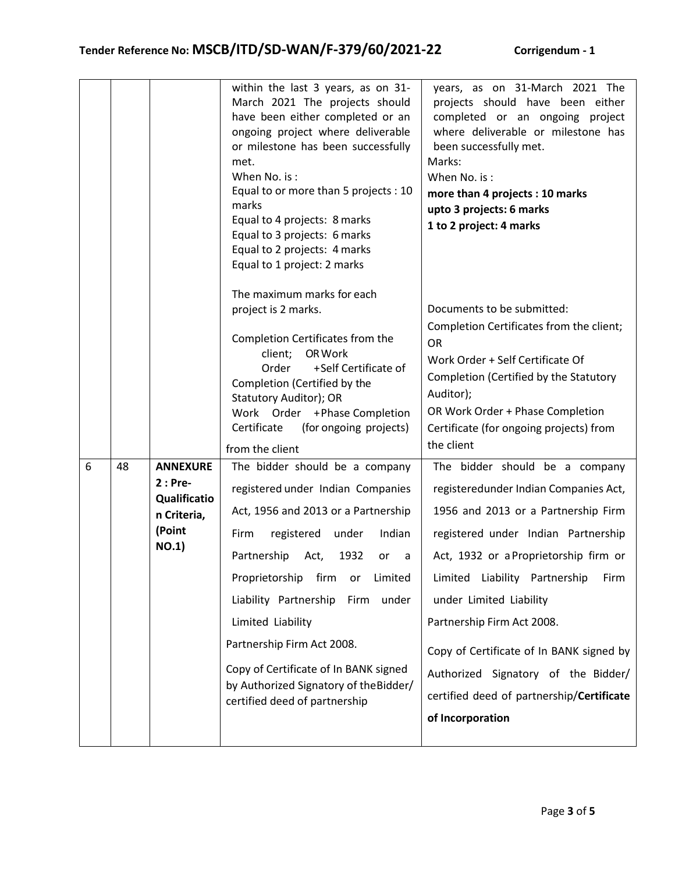|   |    |                                                                               | within the last 3 years, as on 31-<br>March 2021 The projects should<br>have been either completed or an<br>ongoing project where deliverable<br>or milestone has been successfully<br>met.<br>When No. is:<br>Equal to or more than 5 projects : 10<br>marks<br>Equal to 4 projects: 8 marks<br>Equal to 3 projects: 6 marks<br>Equal to 2 projects: 4 marks<br>Equal to 1 project: 2 marks                                                           | years, as on 31-March 2021 The<br>projects should have been either<br>completed or an ongoing project<br>where deliverable or milestone has<br>been successfully met.<br>Marks:<br>When No. is:<br>more than 4 projects : 10 marks<br>upto 3 projects: 6 marks<br>1 to 2 project: 4 marks                                                                                                                                                            |  |  |
|---|----|-------------------------------------------------------------------------------|--------------------------------------------------------------------------------------------------------------------------------------------------------------------------------------------------------------------------------------------------------------------------------------------------------------------------------------------------------------------------------------------------------------------------------------------------------|------------------------------------------------------------------------------------------------------------------------------------------------------------------------------------------------------------------------------------------------------------------------------------------------------------------------------------------------------------------------------------------------------------------------------------------------------|--|--|
|   |    |                                                                               | The maximum marks for each<br>project is 2 marks.<br>Completion Certificates from the<br>OR Work<br>client;<br>+Self Certificate of<br>Order<br>Completion (Certified by the<br><b>Statutory Auditor); OR</b><br>Work Order +Phase Completion<br>Certificate<br>(for ongoing projects)<br>from the client                                                                                                                                              | Documents to be submitted:<br>Completion Certificates from the client;<br><b>OR</b><br>Work Order + Self Certificate Of<br>Completion (Certified by the Statutory<br>Auditor);<br>OR Work Order + Phase Completion<br>Certificate (for ongoing projects) from<br>the client                                                                                                                                                                          |  |  |
| 6 | 48 | <b>ANNEXURE</b><br>$2:Pre-$<br>Qualificatio<br>n Criteria,<br>(Point<br>NO.1) | The bidder should be a company<br>registered under Indian Companies<br>Act, 1956 and 2013 or a Partnership<br>registered<br>under<br>Indian<br>Firm<br>Partnership<br>1932<br>Act,<br>or<br>a<br>Proprietorship firm<br>Limited<br>or<br>Liability Partnership<br>under<br>Firm<br>Limited Liability<br>Partnership Firm Act 2008.<br>Copy of Certificate of In BANK signed<br>by Authorized Signatory of the Bidder/<br>certified deed of partnership | The bidder should be a company<br>registeredunder Indian Companies Act,<br>1956 and 2013 or a Partnership Firm<br>registered under Indian Partnership<br>Act, 1932 or a Proprietorship firm or<br>Limited Liability Partnership<br>Firm<br>under Limited Liability<br>Partnership Firm Act 2008.<br>Copy of Certificate of In BANK signed by<br>Authorized Signatory of the Bidder/<br>certified deed of partnership/Certificate<br>of Incorporation |  |  |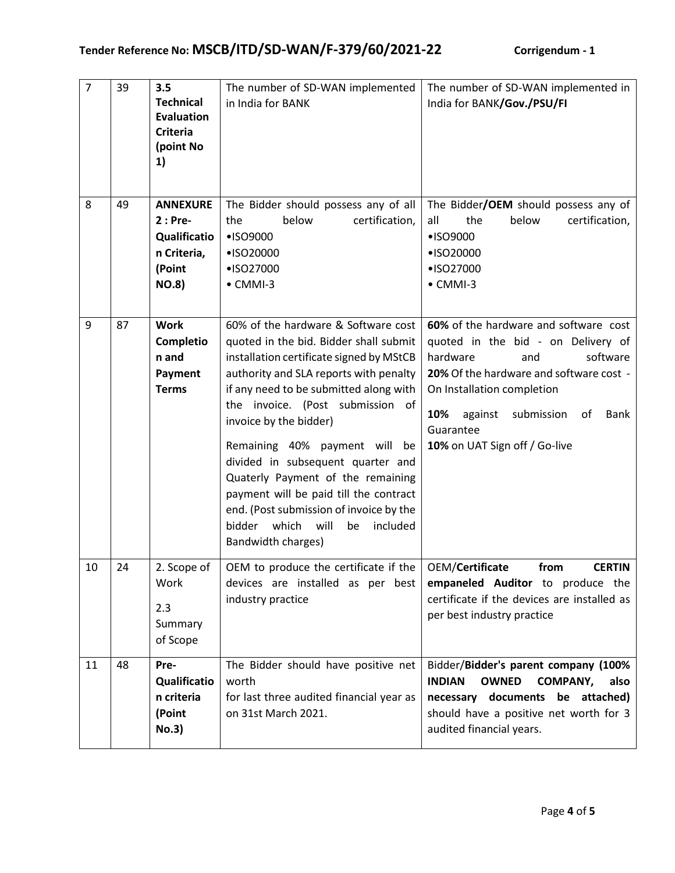| $\overline{7}$ | 39 | 3.5<br><b>Technical</b><br><b>Evaluation</b><br><b>Criteria</b><br>(point No<br>1)   | The number of SD-WAN implemented<br>in India for BANK                                                                                                                                                                                                                                                                                                                                                                                                                                                                                             | The number of SD-WAN implemented in<br>India for BANK/Gov./PSU/FI                                                                                                                                                                                                               |
|----------------|----|--------------------------------------------------------------------------------------|---------------------------------------------------------------------------------------------------------------------------------------------------------------------------------------------------------------------------------------------------------------------------------------------------------------------------------------------------------------------------------------------------------------------------------------------------------------------------------------------------------------------------------------------------|---------------------------------------------------------------------------------------------------------------------------------------------------------------------------------------------------------------------------------------------------------------------------------|
| 8              | 49 | <b>ANNEXURE</b><br>$2:Pre-$<br>Qualificatio<br>n Criteria,<br>(Point<br><b>NO.8)</b> | The Bidder should possess any of all<br>below<br>certification,<br>the<br>•ISO9000<br>•ISO20000<br>•ISO27000<br>$\bullet$ CMMI-3                                                                                                                                                                                                                                                                                                                                                                                                                  | The Bidder/OEM should possess any of<br>the<br>below<br>certification,<br>all<br>•ISO9000<br>•ISO20000<br>•ISO27000<br>$\bullet$ CMMI-3                                                                                                                                         |
| 9              | 87 | <b>Work</b><br>Completio<br>n and<br>Payment<br><b>Terms</b>                         | 60% of the hardware & Software cost<br>quoted in the bid. Bidder shall submit<br>installation certificate signed by MStCB<br>authority and SLA reports with penalty<br>if any need to be submitted along with<br>the invoice. (Post submission of<br>invoice by the bidder)<br>Remaining 40% payment will<br>be<br>divided in subsequent quarter and<br>Quaterly Payment of the remaining<br>payment will be paid till the contract<br>end. (Post submission of invoice by the<br>will<br>bidder<br>which<br>included<br>be<br>Bandwidth charges) | 60% of the hardware and software cost<br>quoted in the bid - on Delivery of<br>hardware<br>software<br>and<br>20% Of the hardware and software cost -<br>On Installation completion<br>10%<br>against<br>submission<br>of<br>Bank<br>Guarantee<br>10% on UAT Sign off / Go-live |
| 10             | 24 | 2. Scope of<br>Work<br>2.3<br>Summary<br>of Scope                                    | OEM to produce the certificate if the $\vert$ OEM/Certificate<br>devices are installed as per best<br>industry practice                                                                                                                                                                                                                                                                                                                                                                                                                           | <b>CERTIN</b><br>from<br>empaneled Auditor to produce the<br>certificate if the devices are installed as<br>per best industry practice                                                                                                                                          |
| 11             | 48 | Pre-<br>Qualificatio<br>n criteria<br>(Point<br><b>No.3</b> )                        | The Bidder should have positive net<br>worth<br>for last three audited financial year as<br>on 31st March 2021.                                                                                                                                                                                                                                                                                                                                                                                                                                   | Bidder/Bidder's parent company (100%<br><b>INDIAN</b><br><b>OWNED</b><br><b>COMPANY,</b><br>also<br>necessary documents be attached)<br>should have a positive net worth for 3<br>audited financial years.                                                                      |